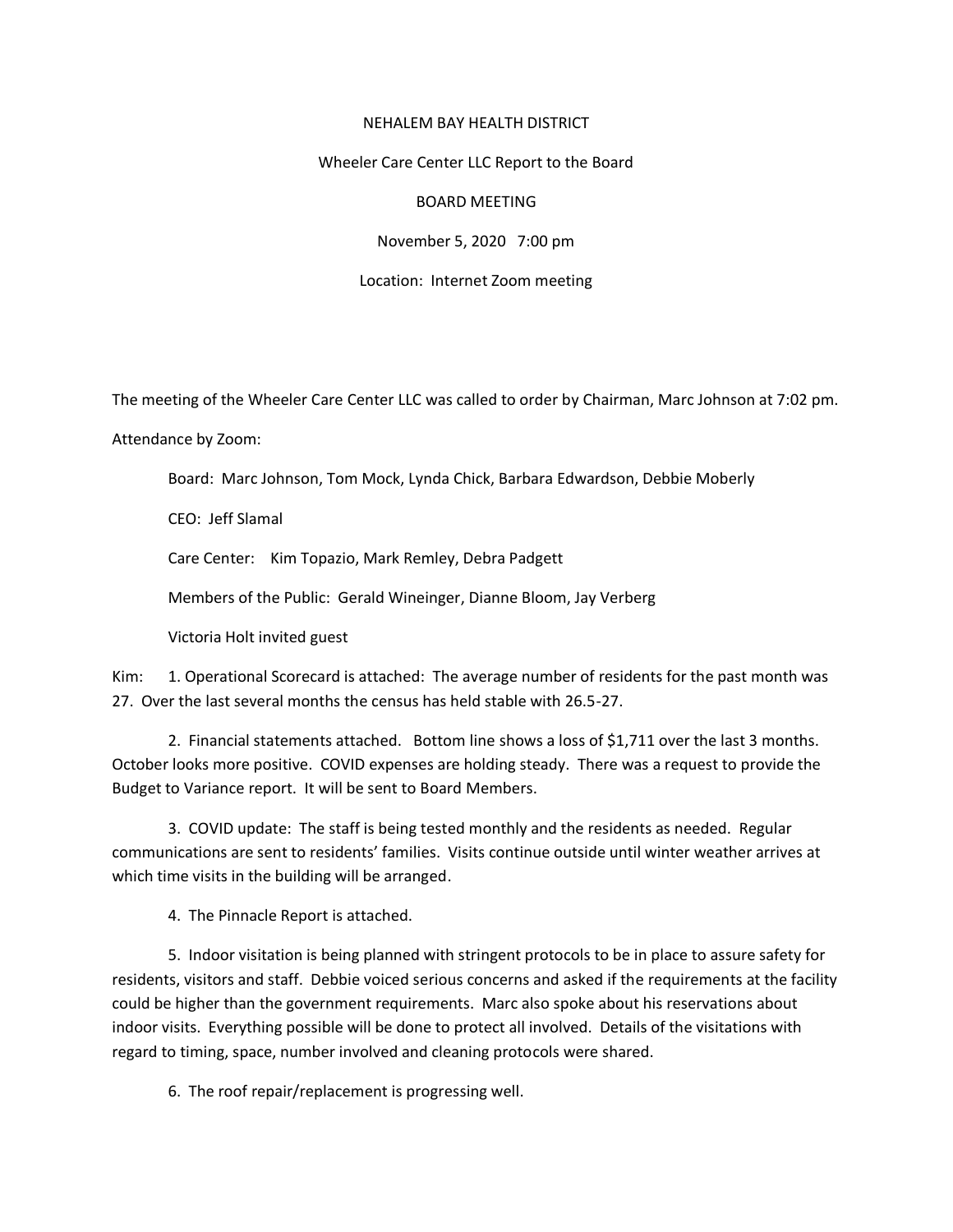## NEHALEM BAY HEALTH DISTRICT

## Wheeler Care Center LLC Report to the Board

## BOARD MEETING

November 5, 2020 7:00 pm

Location: Internet Zoom meeting

The meeting of the Wheeler Care Center LLC was called to order by Chairman, Marc Johnson at 7:02 pm.

Attendance by Zoom:

Board: Marc Johnson, Tom Mock, Lynda Chick, Barbara Edwardson, Debbie Moberly

CEO: Jeff Slamal

Care Center: Kim Topazio, Mark Remley, Debra Padgett

Members of the Public: Gerald Wineinger, Dianne Bloom, Jay Verberg

Victoria Holt invited guest

Kim: 1. Operational Scorecard is attached: The average number of residents for the past month was 27. Over the last several months the census has held stable with 26.5-27.

2. Financial statements attached. Bottom line shows a loss of \$1,711 over the last 3 months. October looks more positive. COVID expenses are holding steady. There was a request to provide the Budget to Variance report. It will be sent to Board Members.

3. COVID update: The staff is being tested monthly and the residents as needed. Regular communications are sent to residents' families. Visits continue outside until winter weather arrives at which time visits in the building will be arranged.

4. The Pinnacle Report is attached.

5. Indoor visitation is being planned with stringent protocols to be in place to assure safety for residents, visitors and staff. Debbie voiced serious concerns and asked if the requirements at the facility could be higher than the government requirements. Marc also spoke about his reservations about indoor visits. Everything possible will be done to protect all involved. Details of the visitations with regard to timing, space, number involved and cleaning protocols were shared.

6. The roof repair/replacement is progressing well.